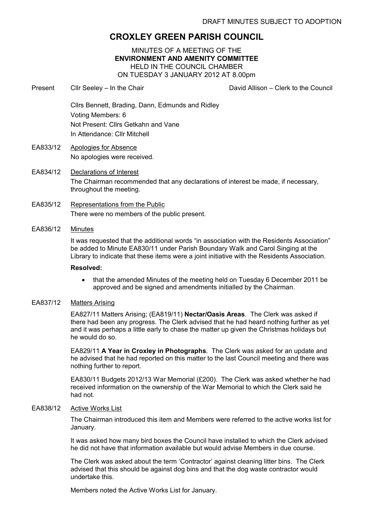# CROXLEY GREEN PARISH COUNCIL

MINUTES OF A MEETING OF THE ENVIRONMENT AND AMENITY COMMITTEE HELD IN THE COUNCIL CHAMBER ON TUESDAY 3 JANUARY 2012 AT 8.00pm

Present Cllr Seeley – In the Chair Chair David Allison – Clerk to the Council

Cllrs Bennett, Brading, Dann, Edmunds and Ridley Voting Members: 6 Not Present: Cllrs Getkahn and Vane In Attendance: Cllr Mitchell

- EA833/12 Apologies for Absence No apologies were received.
- EA834/12 Declarations of Interest The Chairman recommended that any declarations of interest be made, if necessary, throughout the meeting.
- EA835/12 Representations from the Public There were no members of the public present.
- EA836/12 Minutes

It was requested that the additional words "in association with the Residents Association" be added to Minute EA830/11 under Parish Boundary Walk and Carol Singing at the Library to indicate that these items were a joint initiative with the Residents Association.

### Resolved:

• that the amended Minutes of the meeting held on Tuesday 6 December 2011 be approved and be signed and amendments initialled by the Chairman.

### EA837/12 Matters Arising

EA827/11 Matters Arising; (EA819/11) Nectar/Oasis Areas. The Clerk was asked if there had been any progress. The Clerk advised that he had heard nothing further as yet and it was perhaps a little early to chase the matter up given the Christmas holidays but he would do so.

EA829/11 A Year in Croxley in Photographs. The Clerk was asked for an update and he advised that he had reported on this matter to the last Council meeting and there was nothing further to report.

EA830/11 Budgets 2012/13 War Memorial (£200). The Clerk was asked whether he had received information on the ownership of the War Memorial to which the Clerk said he had not.

## EA838/12 Active Works List

The Chairman introduced this item and Members were referred to the active works list for January.

It was asked how many bird boxes the Council have installed to which the Clerk advised he did not have that information available but would advise Members in due course.

The Clerk was asked about the term 'Contractor' against cleaning litter bins. The Clerk advised that this should be against dog bins and that the dog waste contractor would undertake this.

Members noted the Active Works List for January.